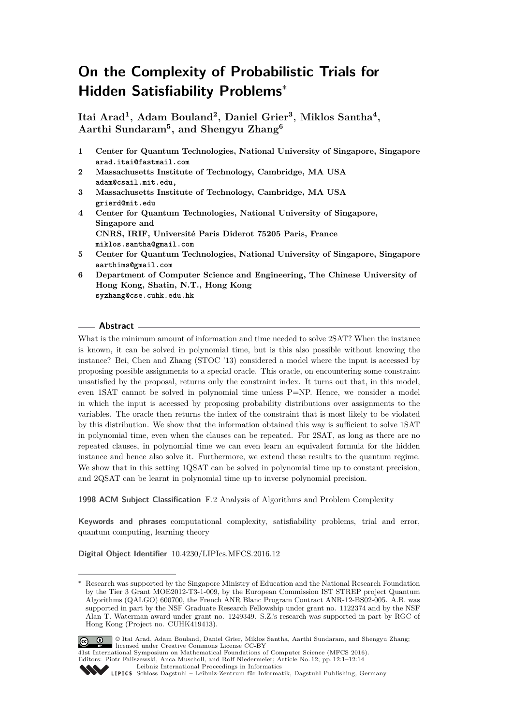# **On the Complexity of Probabilistic Trials for Hidden Satisfiability Problems**<sup>∗</sup>

**Itai Arad<sup>1</sup> , Adam Bouland<sup>2</sup> , Daniel Grier<sup>3</sup> , Miklos Santha<sup>4</sup> , Aarthi Sundaram<sup>5</sup> , and Shengyu Zhang<sup>6</sup>**

- **1 Center for Quantum Technologies, National University of Singapore, Singapore arad.itai@fastmail.com**
- **2 Massachusetts Institute of Technology, Cambridge, MA USA adam@csail.mit.edu,**
- **3 Massachusetts Institute of Technology, Cambridge, MA USA grierd@mit.edu**
- **4 Center for Quantum Technologies, National University of Singapore, Singapore and CNRS, IRIF, Université Paris Diderot 75205 Paris, France miklos.santha@gmail.com**
- **5 Center for Quantum Technologies, National University of Singapore, Singapore aarthims@gmail.com**
- **6 Department of Computer Science and Engineering, The Chinese University of Hong Kong, Shatin, N.T., Hong Kong syzhang@cse.cuhk.edu.hk**

### **Abstract**

What is the minimum amount of information and time needed to solve 2SAT? When the instance is known, it can be solved in polynomial time, but is this also possible without knowing the instance? Bei, Chen and Zhang (STOC '13) considered a model where the input is accessed by proposing possible assignments to a special oracle. This oracle, on encountering some constraint unsatisfied by the proposal, returns only the constraint index. It turns out that, in this model, even 1SAT cannot be solved in polynomial time unless P=NP. Hence, we consider a model in which the input is accessed by proposing probability distributions over assignments to the variables. The oracle then returns the index of the constraint that is most likely to be violated by this distribution. We show that the information obtained this way is sufficient to solve 1SAT in polynomial time, even when the clauses can be repeated. For 2SAT, as long as there are no repeated clauses, in polynomial time we can even learn an equivalent formula for the hidden instance and hence also solve it. Furthermore, we extend these results to the quantum regime. We show that in this setting  $1QSAT$  can be solved in polynomial time up to constant precision, and 2QSAT can be learnt in polynomial time up to inverse polynomial precision.

**1998 ACM Subject Classification** F.2 Analysis of Algorithms and Problem Complexity

**Keywords and phrases** computational complexity, satisfiability problems, trial and error, quantum computing, learning theory

**Digital Object Identifier** [10.4230/LIPIcs.MFCS.2016.12](http://dx.doi.org/10.4230/LIPIcs.MFCS.2016.12)

Research was supported by the Singapore Ministry of Education and the National Research Foundation by the Tier 3 Grant MOE2012-T3-1-009, by the European Commission IST STREP project Quantum Algorithms (QALGO) 600700, the French ANR Blanc Program Contract ANR-12-BS02-005. A.B. was supported in part by the NSF Graduate Research Fellowship under grant no. 1122374 and by the NSF Alan T. Waterman award under grant no. 1249349. S.Z.'s research was supported in part by RGC of Hong Kong (Project no. CUHK419413).



© Itai Arad, Adam Bouland, Daniel Grier, Miklos Santha, Aarthi Sundaram, and Shengyu Zhang; licensed under Creative Commons License CC-BY

41st International Symposium on Mathematical Foundations of Computer Science (MFCS 2016). Editors: Piotr Faliszewski, Anca Muscholl, and Rolf Niedermeier; Article No. 12; pp. 12:1–12[:14](#page-13-0)

[Leibniz International Proceedings in Informatics](http://www.dagstuhl.de/lipics/)

Leibniz international Floretungs in missimosische Publishing, Germany<br>LIPICS [Schloss Dagstuhl – Leibniz-Zentrum für Informatik, Dagstuhl Publishing, Germany](http://www.dagstuhl.de)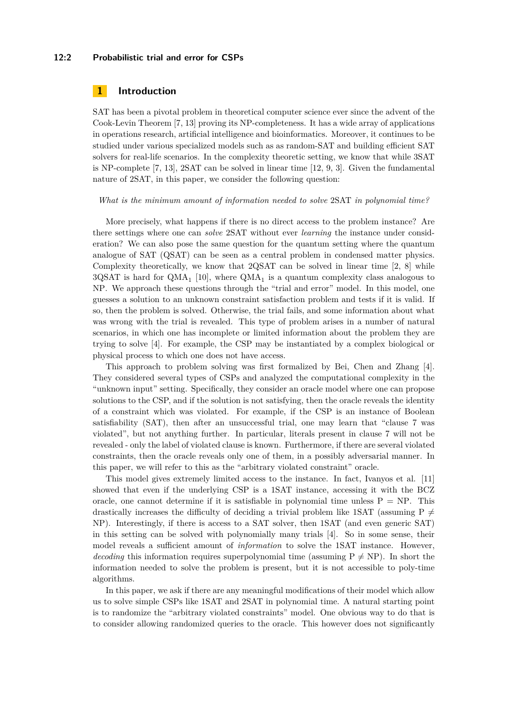### **12:2 Probabilistic trial and error for CSPs**

### **1 Introduction**

SAT has been a pivotal problem in theoretical computer science ever since the advent of the Cook-Levin Theorem [\[7,](#page-13-1) [13\]](#page-13-2) proving its NP-completeness. It has a wide array of applications in operations research, artificial intelligence and bioinformatics. Moreover, it continues to be studied under various specialized models such as as random-SAT and building efficient SAT solvers for real-life scenarios. In the complexity theoretic setting, we know that while 3SAT is NP-complete [\[7,](#page-13-1) [13\]](#page-13-2), 2SAT can be solved in linear time [\[12,](#page-13-3) [9,](#page-13-4) [3\]](#page-12-0). Given the fundamental nature of 2SAT, in this paper, we consider the following question:

*What is the minimum amount of information needed to solve* 2SAT *in polynomial time?*

More precisely, what happens if there is no direct access to the problem instance? Are there settings where one can *solve* 2SAT without ever *learning* the instance under consideration? We can also pose the same question for the quantum setting where the quantum analogue of SAT (QSAT) can be seen as a central problem in condensed matter physics. Complexity theoretically, we know that 2QSAT can be solved in linear time [\[2,](#page-12-1) [8\]](#page-13-5) while  $3QSAT$  is hard for  $QMA_1$  [\[10\]](#page-13-6), where  $QMA_1$  is a quantum complexity class analogous to NP. We approach these questions through the "trial and error" model. In this model, one guesses a solution to an unknown constraint satisfaction problem and tests if it is valid. If so, then the problem is solved. Otherwise, the trial fails, and some information about what was wrong with the trial is revealed. This type of problem arises in a number of natural scenarios, in which one has incomplete or limited information about the problem they are trying to solve [\[4\]](#page-12-2). For example, the CSP may be instantiated by a complex biological or physical process to which one does not have access.

This approach to problem solving was first formalized by Bei, Chen and Zhang [\[4\]](#page-12-2). They considered several types of CSPs and analyzed the computational complexity in the "unknown input" setting. Specifically, they consider an oracle model where one can propose solutions to the CSP, and if the solution is not satisfying, then the oracle reveals the identity of a constraint which was violated. For example, if the CSP is an instance of Boolean satisfiability (SAT), then after an unsuccessful trial, one may learn that "clause 7 was violated", but not anything further. In particular, literals present in clause 7 will not be revealed - only the label of violated clause is known. Furthermore, if there are several violated constraints, then the oracle reveals only one of them, in a possibly adversarial manner. In this paper, we will refer to this as the "arbitrary violated constraint" oracle.

This model gives extremely limited access to the instance. In fact, Ivanyos et al. [\[11\]](#page-13-7) showed that even if the underlying CSP is a 1SAT instance, accessing it with the BCZ oracle, one cannot determine if it is satisfiable in polynomial time unless  $P = NP$ . This drastically increases the difficulty of deciding a trivial problem like 1SAT (assuming P  $\neq$ NP). Interestingly, if there is access to a SAT solver, then 1SAT (and even generic SAT) in this setting can be solved with polynomially many trials [\[4\]](#page-12-2). So in some sense, their model reveals a sufficient amount of *information* to solve the 1SAT instance. However, *decoding* this information requires superpolynomial time (assuming  $P \neq NP$ ). In short the information needed to solve the problem is present, but it is not accessible to poly-time algorithms.

In this paper, we ask if there are any meaningful modifications of their model which allow us to solve simple CSPs like 1SAT and 2SAT in polynomial time. A natural starting point is to randomize the "arbitrary violated constraints" model. One obvious way to do that is to consider allowing randomized queries to the oracle. This however does not significantly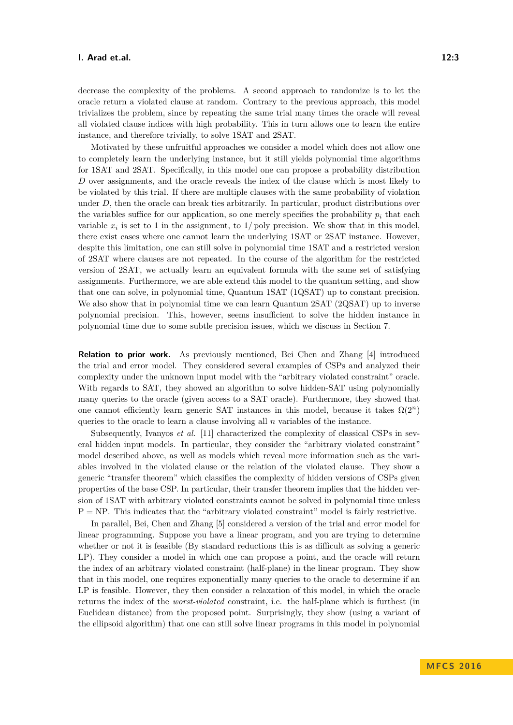decrease the complexity of the problems. A second approach to randomize is to let the oracle return a violated clause at random. Contrary to the previous approach, this model trivializes the problem, since by repeating the same trial many times the oracle will reveal all violated clause indices with high probability. This in turn allows one to learn the entire instance, and therefore trivially, to solve 1SAT and 2SAT.

Motivated by these unfruitful approaches we consider a model which does not allow one to completely learn the underlying instance, but it still yields polynomial time algorithms for 1SAT and 2SAT. Specifically, in this model one can propose a probability distribution *D* over assignments, and the oracle reveals the index of the clause which is most likely to be violated by this trial. If there are multiple clauses with the same probability of violation under *D*, then the oracle can break ties arbitrarily. In particular, product distributions over the variables suffice for our application, so one merely specifies the probability  $p_i$  that each variable  $x_i$  is set to 1 in the assignment, to  $1/p$  oly precision. We show that in this model, there exist cases where one cannot learn the underlying 1SAT or 2SAT instance. However, despite this limitation, one can still solve in polynomial time 1SAT and a restricted version of 2SAT where clauses are not repeated. In the course of the algorithm for the restricted version of 2SAT, we actually learn an equivalent formula with the same set of satisfying assignments. Furthermore, we are able extend this model to the quantum setting, and show that one can solve, in polynomial time, Quantum 1SAT (1QSAT) up to constant precision. We also show that in polynomial time we can learn Quantum 2SAT (2QSAT) up to inverse polynomial precision. This, however, seems insufficient to solve the hidden instance in polynomial time due to some subtle precision issues, which we discuss in Section [7.](#page-11-0)

**Relation to prior work.** As previously mentioned, Bei Chen and Zhang [\[4\]](#page-12-2) introduced the trial and error model. They considered several examples of CSPs and analyzed their complexity under the unknown input model with the "arbitrary violated constraint" oracle. With regards to SAT, they showed an algorithm to solve hidden-SAT using polynomially many queries to the oracle (given access to a SAT oracle). Furthermore, they showed that one cannot efficiently learn generic SAT instances in this model, because it takes  $\Omega(2^n)$ queries to the oracle to learn a clause involving all *n* variables of the instance.

Subsequently, Ivanyos *et al.* [\[11\]](#page-13-7) characterized the complexity of classical CSPs in several hidden input models. In particular, they consider the "arbitrary violated constraint" model described above, as well as models which reveal more information such as the variables involved in the violated clause or the relation of the violated clause. They show a generic "transfer theorem" which classifies the complexity of hidden versions of CSPs given properties of the base CSP. In particular, their transfer theorem implies that the hidden version of 1SAT with arbitrary violated constraints cannot be solved in polynomial time unless  $P = NP$ . This indicates that the "arbitrary violated constraint" model is fairly restrictive.

In parallel, Bei, Chen and Zhang [\[5\]](#page-12-3) considered a version of the trial and error model for linear programming. Suppose you have a linear program, and you are trying to determine whether or not it is feasible (By standard reductions this is as difficult as solving a generic LP). They consider a model in which one can propose a point, and the oracle will return the index of an arbitrary violated constraint (half-plane) in the linear program. They show that in this model, one requires exponentially many queries to the oracle to determine if an LP is feasible. However, they then consider a relaxation of this model, in which the oracle returns the index of the *worst-violated* constraint, i.e. the half-plane which is furthest (in Euclidean distance) from the proposed point. Surprisingly, they show (using a variant of the ellipsoid algorithm) that one can still solve linear programs in this model in polynomial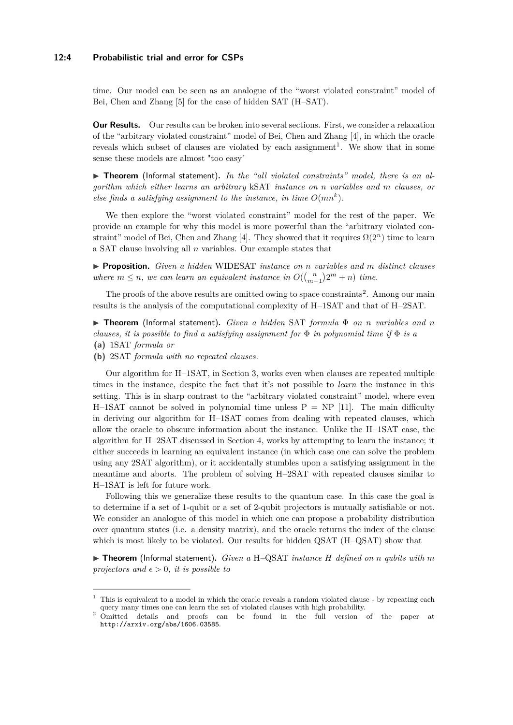### **12:4 Probabilistic trial and error for CSPs**

time. Our model can be seen as an analogue of the "worst violated constraint" model of Bei, Chen and Zhang [\[5\]](#page-12-3) for the case of hidden SAT (H–SAT).

**Our Results.** Our results can be broken into several sections. First, we consider a relaxation of the "arbitrary violated constraint" model of Bei, Chen and Zhang [\[4\]](#page-12-2), in which the oracle reveals which subset of clauses are violated by each assignment<sup>[1](#page-3-0)</sup>. We show that in some sense these models are almost "too easy"

▶ Theorem (Informal statement). In the "all violated constraints" model, there is an al*gorithm which either learns an arbitrary* kSAT *instance on n variables and m clauses, or else finds a satisfying assignment to the instance, in time*  $O(mn^k)$ *.* 

We then explore the "worst violated constraint" model for the rest of the paper. We provide an example for why this model is more powerful than the "arbitrary violated con-straint" model of Bei, Chen and Zhang [\[4\]](#page-12-2). They showed that it requires  $\Omega(2^n)$  time to learn a SAT clause involving all *n* variables. Our example states that

I **Proposition.** *Given a hidden* WIDESAT *instance on n variables and m distinct clauses where*  $m \leq n$ , we can learn an equivalent instance in  $O((\binom{n}{m-1})2^m + n)$  time.

The proofs of the above results are omitted owing to space constraints<sup>[2](#page-3-1)</sup>. Among our main results is the analysis of the computational complexity of H–1SAT and that of H–2SAT.

I **Theorem** (Informal statement)**.** *Given a hidden* SAT *formula* Φ *on n variables and n clauses, it is possible to find a satisfying assignment for* Φ *in polynomial time if* Φ *is a* **(a)** 1SAT *formula or*

**(b)** 2SAT *formula with no repeated clauses.*

Our algorithm for H–1SAT, in Section [3,](#page-5-0) works even when clauses are repeated multiple times in the instance, despite the fact that it's not possible to *learn* the instance in this setting. This is in sharp contrast to the "arbitrary violated constraint" model, where even H–1SAT cannot be solved in polynomial time unless  $P = NP$  [\[11\]](#page-13-7). The main difficulty in deriving our algorithm for H–1SAT comes from dealing with repeated clauses, which allow the oracle to obscure information about the instance. Unlike the H–1SAT case, the algorithm for H–2SAT discussed in Section [4,](#page-6-0) works by attempting to learn the instance; it either succeeds in learning an equivalent instance (in which case one can solve the problem using any 2SAT algorithm), or it accidentally stumbles upon a satisfying assignment in the meantime and aborts. The problem of solving H–2SAT with repeated clauses similar to H–1SAT is left for future work.

Following this we generalize these results to the quantum case. In this case the goal is to determine if a set of 1-qubit or a set of 2-qubit projectors is mutually satisfiable or not. We consider an analogue of this model in which one can propose a probability distribution over quantum states (i.e. a density matrix), and the oracle returns the index of the clause which is most likely to be violated. Our results for hidden QSAT (H–QSAT) show that

 $\triangleright$  **Theorem** (Informal statement). *Given a* H–QSAT *instance H* defined on *n qubits with m projectors and*  $\epsilon > 0$ *, it is possible to* 

<span id="page-3-0"></span> $1$ . This is equivalent to a model in which the oracle reveals a random violated clause - by repeating each query many times one can learn the set of violated clauses with high probability.

<span id="page-3-1"></span><sup>&</sup>lt;sup>2</sup> Omitted details and proofs can be found in the full version of the paper at http://arxiv.org/abs/1606.03585.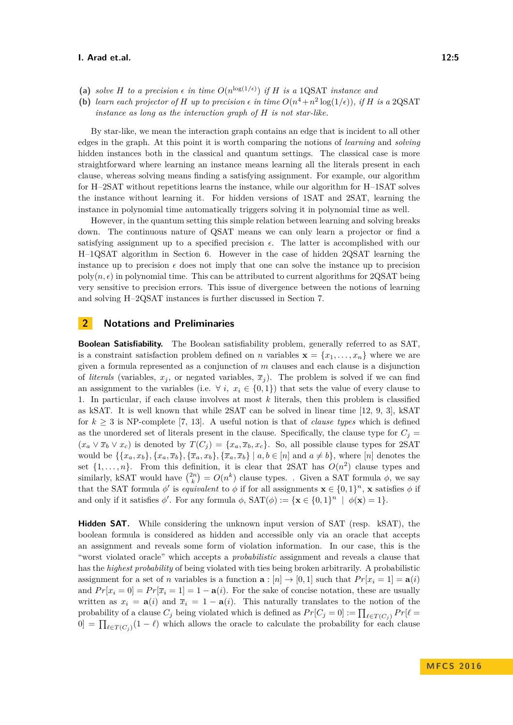- (a) *solve H to a precision*  $\epsilon$  *in time*  $O(n^{\log(1/\epsilon)})$  *if H is a* 1QSAT *instance and*
- **(b)** learn each projector of H up to precision  $\epsilon$  in time  $O(n^4 + n^2 \log(1/\epsilon))$ , if H is a 2QSAT *instance as long as the interaction graph of H is not star-like.*

By star-like, we mean the interaction graph contains an edge that is incident to all other edges in the graph. At this point it is worth comparing the notions of *learning* and *solving* hidden instances both in the classical and quantum settings. The classical case is more straightforward where learning an instance means learning all the literals present in each clause, whereas solving means finding a satisfying assignment. For example, our algorithm for H–2SAT without repetitions learns the instance, while our algorithm for H–1SAT solves the instance without learning it. For hidden versions of 1SAT and 2SAT, learning the instance in polynomial time automatically triggers solving it in polynomial time as well.

However, in the quantum setting this simple relation between learning and solving breaks down. The continuous nature of QSAT means we can only learn a projector or find a satisfying assignment up to a specified precision  $\epsilon$ . The latter is accomplished with our H–1QSAT algorithm in Section [6.](#page-10-0) However in the case of hidden 2QSAT learning the instance up to precision  $\epsilon$  does not imply that one can solve the instance up to precision  $poly(n, \epsilon)$  in polynomial time. This can be attributed to current algorithms for 2QSAT being very sensitive to precision errors. This issue of divergence between the notions of learning and solving H–2QSAT instances is further discussed in Section [7.](#page-11-0)

### **2 Notations and Preliminaries**

**Boolean Satisfiability.** The Boolean satisfiability problem, generally referred to as SAT, is a constraint satisfaction problem defined on *n* variables  $\mathbf{x} = \{x_1, \dots, x_n\}$  where we are given a formula represented as a conjunction of *m* clauses and each clause is a disjunction of *literals* (variables,  $x_j$ , or negated variables,  $\overline{x}_j$ ). The problem is solved if we can find an assignment to the variables (i.e.  $\forall i, x_i \in \{0,1\}$ ) that sets the value of every clause to 1. In particular, if each clause involves at most *k* literals, then this problem is classified as kSAT. It is well known that while 2SAT can be solved in linear time [\[12,](#page-13-3) [9,](#page-13-4) [3\]](#page-12-0), kSAT for  $k \geq 3$  is NP-complete [\[7,](#page-13-1) [13\]](#page-13-2). A useful notion is that of *clause types* which is defined as the unordered set of literals present in the clause. Specifically, the clause type for  $C_j =$  $(x_a \vee \overline{x}_b \vee x_c)$  is denoted by  $T(C_j) = \{x_a, \overline{x}_b, x_c\}$ . So, all possible clause types for 2SAT would be  $\{\{x_a, x_b\}, \{x_a, \overline{x}_b\}, \{\overline{x}_a, x_b\}, \{\overline{x}_a, \overline{x}_b\} \mid a, b \in [n] \text{ and } a \neq b\}$ , where  $[n]$  denotes the set  $\{1, \ldots, n\}$ . From this definition, it is clear that 2SAT has  $O(n^2)$  clause types and similarly, kSAT would have  $\binom{2n}{k} = O(n^k)$  clause types. . Given a SAT formula  $\phi$ , we say that the SAT formula  $\phi'$  is *equivalent* to  $\phi$  if for all assignments  $\mathbf{x} \in \{0,1\}^n$ ,  $\mathbf{x}$  satisfies  $\phi$  if and only if it satisfies  $\phi'$ . For any formula  $\phi$ ,  $SAT(\phi) := {\mathbf{x} \in \{0,1\}^n \mid \phi(\mathbf{x}) = 1}.$ 

**Hidden SAT.** While considering the unknown input version of SAT (resp. kSAT), the boolean formula is considered as hidden and accessible only via an oracle that accepts an assignment and reveals some form of violation information. In our case, this is the "worst violated oracle" which accepts a *probabilistic* assignment and reveals a clause that has the *highest probability* of being violated with ties being broken arbitrarily. A probabilistic assignment for a set of *n* variables is a function  $\mathbf{a} : [n] \to [0,1]$  such that  $Pr[x_i = 1] = \mathbf{a}(i)$ and  $Pr[x_i = 0] = Pr[\overline{x}_i = 1] = 1 - \mathbf{a}(i)$ . For the sake of concise notation, these are usually written as  $x_i = \mathbf{a}(i)$  and  $\overline{x}_i = 1 - \mathbf{a}(i)$ . This naturally translates to the notion of the probability of a clause  $C_j$  being violated which is defined as  $Pr[C_j = 0] := \prod_{\ell \in T(C_j)} Pr[\ell = 1]$  $[0] = \prod_{\ell \in T(C_j)} (1 - \ell)$  which allows the oracle to calculate the probability for each clause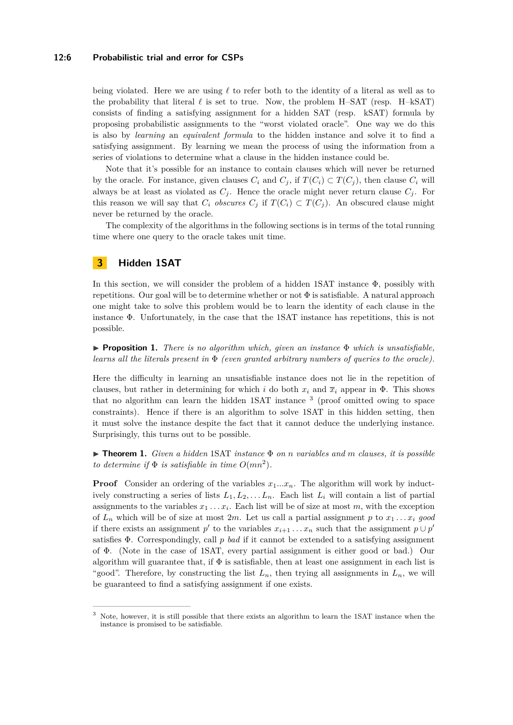### **12:6 Probabilistic trial and error for CSPs**

being violated. Here we are using  $\ell$  to refer both to the identity of a literal as well as to the probability that literal  $\ell$  is set to true. Now, the problem H–SAT (resp. H–kSAT) consists of finding a satisfying assignment for a hidden SAT (resp. kSAT) formula by proposing probabilistic assignments to the "worst violated oracle". One way we do this is also by *learning* an *equivalent formula* to the hidden instance and solve it to find a satisfying assignment. By learning we mean the process of using the information from a series of violations to determine what a clause in the hidden instance could be.

Note that it's possible for an instance to contain clauses which will never be returned by the oracle. For instance, given clauses  $C_i$  and  $C_j$ , if  $T(C_i) \subset T(C_j)$ , then clause  $C_i$  will always be at least as violated as  $C_j$ . Hence the oracle might never return clause  $C_j$ . For this reason we will say that  $C_i$  *obscures*  $C_j$  if  $T(C_i) \subset T(C_j)$ . An obscured clause might never be returned by the oracle.

The complexity of the algorithms in the following sections is in terms of the total running time where one query to the oracle takes unit time.

# <span id="page-5-0"></span>**3 Hidden 1SAT**

In this section, we will consider the problem of a hidden 1SAT instance  $\Phi$ , possibly with repetitions. Our goal will be to determine whether or not  $\Phi$  is satisfiable. A natural approach one might take to solve this problem would be to learn the identity of each clause in the instance Φ. Unfortunately, in the case that the 1SAT instance has repetitions, this is not possible.

<span id="page-5-2"></span>I **Proposition 1.** *There is no algorithm which, given an instance* Φ *which is unsatisfiable, learns all the literals present in* Φ *(even granted arbitrary numbers of queries to the oracle).*

Here the difficulty in learning an unsatisfiable instance does not lie in the repetition of clauses, but rather in determining for which *i* do both  $x_i$  and  $\overline{x}_i$  appear in  $\Phi$ . This shows that no algorithm can learn the hidden 1SAT instance <sup>[3](#page-5-1)</sup> (proof omitted owing to space constraints). Hence if there is an algorithm to solve 1SAT in this hidden setting, then it must solve the instance despite the fact that it cannot deduce the underlying instance. Surprisingly, this turns out to be possible.

<span id="page-5-3"></span>I **Theorem 1.** *Given a hidden* 1SAT *instance* Φ *on n variables and m clauses, it is possible to determine if*  $\Phi$  *is satisfiable in time*  $O(mn^2)$ *.* 

**Proof** Consider an ordering of the variables  $x_1...x_n$ . The algorithm will work by inductively constructing a series of lists  $L_1, L_2, \ldots, L_n$ . Each list  $L_i$  will contain a list of partial assignments to the variables  $x_1 \ldots x_i$ . Each list will be of size at most  $m$ , with the exception of  $L_n$  which will be of size at most  $2m$ . Let us call a partial assignment p to  $x_1 \ldots x_i$  good if there exists an assignment  $p'$  to the variables  $x_{i+1} \ldots x_n$  such that the assignment  $p \cup p'$ satisfies Φ. Correspondingly, call *p bad* if it cannot be extended to a satisfying assignment of Φ. (Note in the case of 1SAT, every partial assignment is either good or bad.) Our algorithm will guarantee that, if  $\Phi$  is satisfiable, then at least one assignment in each list is "good". Therefore, by constructing the list  $L_n$ , then trying all assignments in  $L_n$ , we will be guaranteed to find a satisfying assignment if one exists.

<span id="page-5-1"></span><sup>3</sup> Note, however, it is still possible that there exists an algorithm to learn the 1SAT instance when the instance is promised to be satisfiable.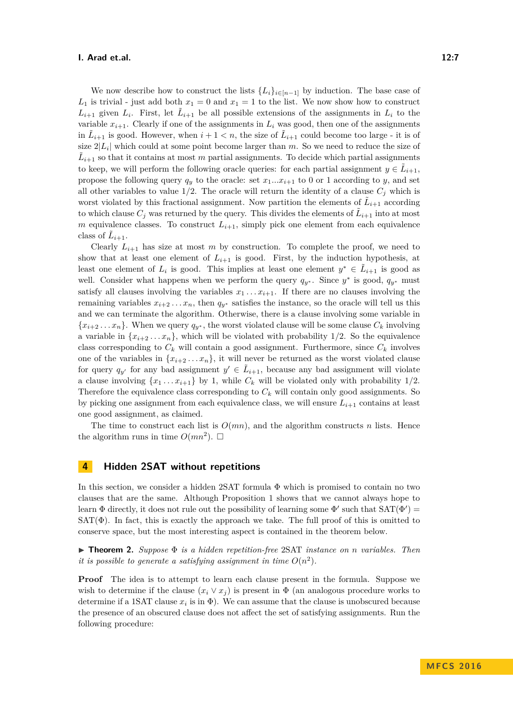We now describe how to construct the lists  ${L_i}_{i \in [n-1]}$  by induction. The base case of  $L_1$  is trivial - just add both  $x_1 = 0$  and  $x_1 = 1$  to the list. We now show how to construct  $L_{i+1}$  given  $L_i$ . First, let  $\tilde{L}_{i+1}$  be all possible extensions of the assignments in  $L_i$  to the variable  $x_{i+1}$ . Clearly if one of the assignments in  $L_i$  was good, then one of the assignments in  $\tilde{L}_{i+1}$  is good. However, when  $i+1 < n$ , the size of  $\tilde{L}_{i+1}$  could become too large - it is of size  $2|L_i|$  which could at some point become larger than  $m$ . So we need to reduce the size of  $\tilde{L}_{i+1}$  so that it contains at most *m* partial assignments. To decide which partial assignments to keep, we will perform the following oracle queries: for each partial assignment  $y \in \tilde{L}_{i+1}$ , propose the following query  $q_y$  to the oracle: set  $x_1...x_{i+1}$  to 0 or 1 according to *y*, and set all other variables to value  $1/2$ . The oracle will return the identity of a clause  $C_j$  which is worst violated by this fractional assignment. Now partition the elements of  $\tilde{L}_{i+1}$  according to which clause  $C_j$  was returned by the query. This divides the elements of  $\tilde{L}_{i+1}$  into at most *m* equivalence classes. To construct  $L_{i+1}$ , simply pick one element from each equivalence class of  $\tilde{L}_{i+1}$ .

Clearly  $L_{i+1}$  has size at most *m* by construction. To complete the proof, we need to show that at least one element of  $L_{i+1}$  is good. First, by the induction hypothesis, at least one element of  $L_i$  is good. This implies at least one element  $y^* \in L_{i+1}$  is good as well. Consider what happens when we perform the query  $q_{y^*}$ . Since  $y^*$  is good,  $q_{y^*}$  must satisfy all clauses involving the variables  $x_1 \ldots x_{i+1}$ . If there are no clauses involving the remaining variables  $x_{i+2} \ldots x_n$ , then  $q_{v^*}$  satisfies the instance, so the oracle will tell us this and we can terminate the algorithm. Otherwise, there is a clause involving some variable in  ${x_{i+2}, \ldots, x_n}$ . When we query  $q_{y^*}$ , the worst violated clause will be some clause  $C_k$  involving a variable in  $\{x_{i+2} \ldots x_n\}$ , which will be violated with probability 1/2. So the equivalence class corresponding to  $C_k$  will contain a good assignment. Furthermore, since  $C_k$  involves one of the variables in  ${x_{i+2} \ldots x_n}$ , it will never be returned as the worst violated clause for query  $q_{y'}$  for any bad assignment  $y' \in L_{i+1}$ , because any bad assignment will violate a clause involving  $\{x_1 \ldots x_{i+1}\}$  by 1, while  $C_k$  will be violated only with probability 1/2. Therefore the equivalence class corresponding to  $C_k$  will contain only good assignments. So by picking one assignment from each equivalence class, we will ensure  $L_{i+1}$  contains at least one good assignment, as claimed.

The time to construct each list is  $O(mn)$ , and the algorithm constructs *n* lists. Hence the algorithm runs in time  $O(mn^2)$ .  $\square$ 

# <span id="page-6-0"></span>**4 Hidden 2SAT without repetitions**

In this section, we consider a hidden 2SAT formula Φ which is promised to contain no two clauses that are the same. Although Proposition [1](#page-5-2) shows that we cannot always hope to learn  $\Phi$  directly, it does not rule out the possibility of learning some  $\Phi'$  such that  $SAT(\Phi') =$  $SAT(\Phi)$ . In fact, this is exactly the approach we take. The full proof of this is omitted to conserve space, but the most interesting aspect is contained in the theorem below.

I **Theorem 2.** *Suppose* Φ *is a hidden repetition-free* 2SAT *instance on n variables. Then it is possible to generate a satisfying assignment in time*  $O(n^2)$ .

**Proof** The idea is to attempt to learn each clause present in the formula. Suppose we wish to determine if the clause  $(x_i \vee x_j)$  is present in  $\Phi$  (an analogous procedure works to determine if a 1SAT clause  $x_i$  is in  $\Phi$ ). We can assume that the clause is unobscured because the presence of an obscured clause does not affect the set of satisfying assignments. Run the following procedure: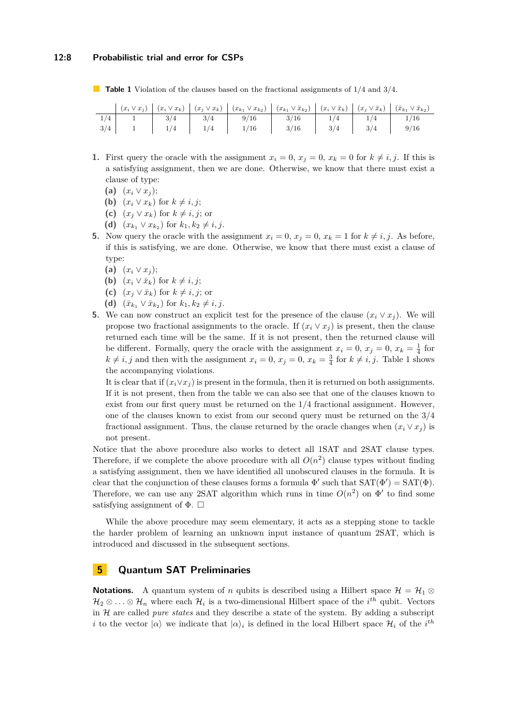### **12:8 Probabilistic trial and error for CSPs**

<span id="page-7-0"></span>**Table 1** Violation of the clauses based on the fractional assignments of 1/4 and 3/4.

- **1.** First query the oracle with the assignment  $x_i = 0$ ,  $x_j = 0$ ,  $x_k = 0$  for  $k \neq i, j$ . If this is a satisfying assignment, then we are done. Otherwise, we know that there must exist a clause of type:
	- **(a)**  $(x_i \vee x_j);$
	- **(b)**  $(x_i \vee x_k)$  for  $k \neq i, j$ ;
	- **(c)**  $(x_i \vee x_k)$  for  $k \neq i, j$ ; or
	- **(d)**  $(x_{k_1} \vee x_{k_2})$  for  $k_1, k_2 \neq i, j$ .
- **5.** Now query the oracle with the assignment  $x_i = 0, x_j = 0, x_k = 1$  for  $k \neq i, j$ . As before, if this is satisfying, we are done. Otherwise, we know that there must exist a clause of type:
	- **(a)**  $(x_i \vee x_j);$
	- **(b)**  $(x_i \vee \overline{x}_k)$  for  $k \neq i, j$ ;
	- **(c)**  $(x_j \vee \overline{x}_k)$  for  $k \neq i, j$ ; or
	- **(d)**  $(\bar{x}_{k_1} \vee \bar{x}_{k_2})$  for  $k_1, k_2 \neq i, j$ .
- **5.** We can now construct an explicit test for the presence of the clause  $(x_i \vee x_j)$ . We will propose two fractional assignments to the oracle. If  $(x_i \vee x_j)$  is present, then the clause returned each time will be the same. If it is not present, then the returned clause will be different. Formally, query the oracle with the assignment  $x_i = 0, x_j = 0, x_k = \frac{1}{4}$  for  $k \neq i, j$  and then with the assignment  $x_i = 0, x_j = 0, x_k = \frac{3}{4}$  for  $k \neq i, j$ . Table [1](#page-7-0) shows the accompanying violations.

It is clear that if  $(x_i \vee x_j)$  is present in the formula, then it is returned on both assignments. If it is not present, then from the table we can also see that one of the clauses known to exist from our first query must be returned on the  $1/4$  fractional assignment. However, one of the clauses known to exist from our second query must be returned on the 3/4 fractional assignment. Thus, the clause returned by the oracle changes when  $(x_i \vee x_j)$  is not present.

Notice that the above procedure also works to detect all 1SAT and 2SAT clause types. Therefore, if we complete the above procedure with all  $O(n^2)$  clause types without finding a satisfying assignment, then we have identified all unobscured clauses in the formula. It is clear that the conjunction of these clauses forms a formula  $\Phi'$  such that  $SAT(\Phi') = SAT(\Phi)$ . Therefore, we can use any 2SAT algorithm which runs in time  $O(n^2)$  on  $\Phi'$  to find some satisfying assignment of  $\Phi$ .  $\Box$ 

While the above procedure may seem elementary, it acts as a stepping stone to tackle the harder problem of learning an unknown input instance of quantum 2SAT, which is introduced and discussed in the subsequent sections.

# **5 Quantum SAT Preliminaries**

**Notations.** A quantum system of *n* qubits is described using a Hilbert space  $\mathcal{H} = \mathcal{H}_1 \otimes$  $\mathcal{H}_2 \otimes \ldots \otimes \mathcal{H}_n$  where each  $\mathcal{H}_i$  is a two-dimensional Hilbert space of the  $i^{th}$  qubit. Vectors in H are called *pure states* and they describe a state of the system. By adding a subscript *i* to the vector  $| \alpha \rangle$  we indicate that  $| \alpha \rangle_i$  is defined in the local Hilbert space  $\mathcal{H}_i$  of the *i*<sup>th</sup>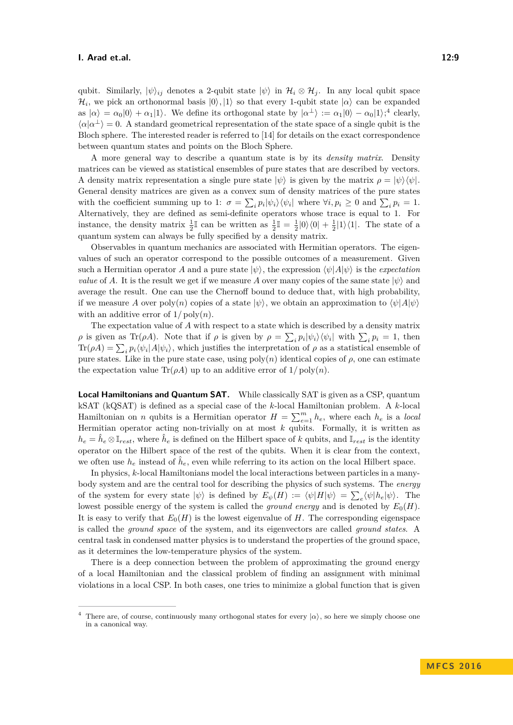qubit. Similarly,  $|\psi\rangle_{ij}$  denotes a 2-qubit state  $|\psi\rangle$  in  $\mathcal{H}_i \otimes \mathcal{H}_j$ . In any local qubit space  $\mathcal{H}_i$ , we pick an orthonormal basis  $|0\rangle, |1\rangle$  so that every 1-qubit state  $| \alpha \rangle$  can be expanded as  $|\alpha\rangle = \alpha_0|0\rangle + \alpha_1|1\rangle$ . We define its orthogonal state by  $|\alpha^{\perp}\rangle := \alpha_1|0\rangle - \alpha_0|1\rangle$ ;<sup>[4](#page-8-0)</sup> clearly,  $\langle \alpha | \alpha^{\perp} \rangle = 0$ . A standard geometrical representation of the state space of a single qubit is the Bloch sphere. The interested reader is referred to [\[14\]](#page-13-8) for details on the exact correspondence between quantum states and points on the Bloch Sphere.

A more general way to describe a quantum state is by its *density matrix*. Density matrices can be viewed as statistical ensembles of pure states that are described by vectors. A density matrix representation a single pure state  $|\psi\rangle$  is given by the matrix  $\rho = |\psi\rangle \langle \psi|$ . General density matrices are given as a convex sum of density matrices of the pure states with the coefficient summing up to 1:  $\sigma = \sum_i p_i |\psi_i\rangle \langle \psi_i|$  where  $\forall i, p_i \geq 0$  and  $\sum_i p_i = 1$ . Alternatively, they are defined as semi-definite operators whose trace is equal to 1. For instance, the density matrix  $\frac{1}{2}\mathbb{I}$  can be written as  $\frac{1}{2}\mathbb{I} = \frac{1}{2}|0\rangle\langle0| + \frac{1}{2}|1\rangle\langle1|$ . The state of a quantum system can always be fully specified by a density matrix.

Observables in quantum mechanics are associated with Hermitian operators. The eigenvalues of such an operator correspond to the possible outcomes of a measurement. Given such a Hermitian operator *A* and a pure state  $|\psi\rangle$ , the expression  $\langle \psi | A | \psi \rangle$  is the *expectation value* of *A*. It is the result we get if we measure *A* over many copies of the same state  $|\psi\rangle$  and average the result. One can use the Chernoff bound to deduce that, with high probability, if we measure *A* over poly $(n)$  copies of a state  $|\psi\rangle$ , we obtain an approximation to  $\langle \psi | A | \psi \rangle$ with an additive error of  $1/\text{poly}(n)$ .

The expectation value of *A* with respect to a state which is described by a density matrix *ρ* is given as Tr(*ρA*). Note that if *ρ* is given by  $\rho = \sum_i p_i |\psi_i\rangle \langle \psi_i|$  with  $\sum_i p_i = 1$ , then  $\text{Tr}(\rho A) = \sum_i p_i \langle \psi_i | A | \psi_i \rangle$ , which justifies the interpretation of  $\rho$  as a statistical ensemble of pure states. Like in the pure state case, using  $poly(n)$  identical copies of  $\rho$ , one can estimate the expectation value  $\text{Tr}(\rho A)$  up to an additive error of  $1/\text{poly}(n)$ .

**Local Hamiltonians and Quantum SAT.** While classically SAT is given as a CSP, quantum kSAT (kQSAT) is defined as a special case of the *k*-local Hamiltonian problem. A *k*-local Hamiltonian on *n* qubits is a Hermitian operator  $H = \sum_{e=1}^{m} h_e$ , where each  $h_e$  is a *local* Hermitian operator acting non-trivially on at most *k* qubits. Formally, it is written as  $h_e = \hat{h}_e \otimes \mathbb{I}_{rest}$ , where  $\hat{h}_e$  is defined on the Hilbert space of *k* qubits, and  $\mathbb{I}_{rest}$  is the identity operator on the Hilbert space of the rest of the qubits. When it is clear from the context, we often use  $h_e$  instead of  $\hat{h}_e$ , even while referring to its action on the local Hilbert space.

In physics, *k*-local Hamiltonians model the local interactions between particles in a manybody system and are the central tool for describing the physics of such systems. The *energy* of the system for every state  $|\psi\rangle$  is defined by  $E_{\psi}(H) := \langle \psi | H | \psi \rangle = \sum_{e} \langle \psi | h_e | \psi \rangle$ . The lowest possible energy of the system is called the *ground energy* and is denoted by  $E_0(H)$ . It is easy to verify that  $E_0(H)$  is the lowest eigenvalue of *H*. The corresponding eigenspace is called the *ground space* of the system, and its eigenvectors are called *ground states*. A central task in condensed matter physics is to understand the properties of the ground space, as it determines the low-temperature physics of the system.

There is a deep connection between the problem of approximating the ground energy of a local Hamiltonian and the classical problem of finding an assignment with minimal violations in a local CSP. In both cases, one tries to minimize a global function that is given

<span id="page-8-0"></span><sup>&</sup>lt;sup>4</sup> There are, of course, continuously many orthogonal states for every  $|\alpha\rangle$ , so here we simply choose one in a canonical way.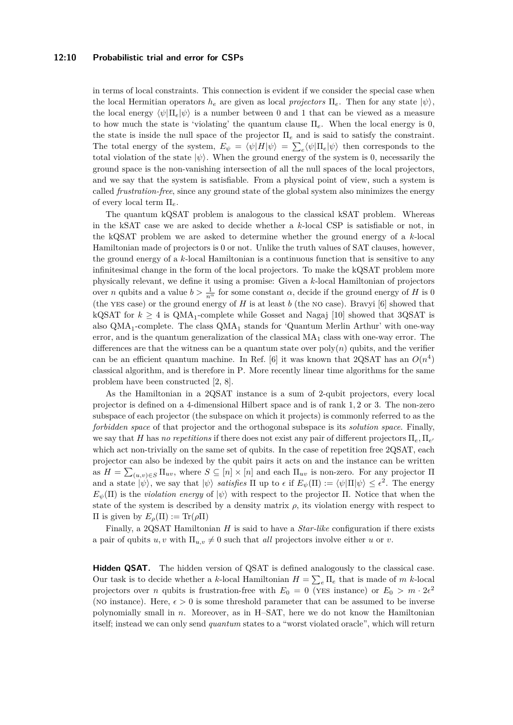### **12:10 Probabilistic trial and error for CSPs**

in terms of local constraints. This connection is evident if we consider the special case when the local Hermitian operators  $h_e$  are given as local *projectors*  $\Pi_e$ . Then for any state  $|\psi\rangle$ , the local energy  $\langle \psi | \Pi_e | \psi \rangle$  is a number between 0 and 1 that can be viewed as a measure to how much the state is 'violating' the quantum clause  $\Pi_e$ . When the local energy is 0, the state is inside the null space of the projector Π*<sup>e</sup>* and is said to satisfy the constraint. The total energy of the system,  $E_{\psi} = \langle \psi | H | \psi \rangle = \sum_{e} \langle \psi | \Pi_{e} | \psi \rangle$  then corresponds to the total violation of the state  $|\psi\rangle$ . When the ground energy of the system is 0, necessarily the ground space is the non-vanishing intersection of all the null spaces of the local projectors, and we say that the system is satisfiable. From a physical point of view, such a system is called *frustration-free*, since any ground state of the global system also minimizes the energy of every local term Π*e*.

The quantum kQSAT problem is analogous to the classical kSAT problem. Whereas in the kSAT case we are asked to decide whether a *k*-local CSP is satisfiable or not, in the kQSAT problem we are asked to determine whether the ground energy of a *k*-local Hamiltonian made of projectors is 0 or not. Unlike the truth values of SAT clauses, however, the ground energy of a *k*-local Hamiltonian is a continuous function that is sensitive to any infinitesimal change in the form of the local projectors. To make the kQSAT problem more physically relevant, we define it using a promise: Given a *k*-local Hamiltonian of projectors over *n* qubits and a value  $b > \frac{1}{n^{\alpha}}$  for some constant  $\alpha$ , decide if the ground energy of *H* is 0 (the yes case) or the ground energy of *H* is at least *b* (the no case). Bravyi [\[6\]](#page-12-4) showed that kQSAT for  $k \geq 4$  is  $\text{QMA}_1$ -complete while Gosset and Nagaj [\[10\]](#page-13-6) showed that 3QSAT is also  $\text{QMA}_1$ -complete. The class  $\text{QMA}_1$  stands for 'Quantum Merlin Arthur' with one-way error, and is the quantum generalization of the classical  $MA<sub>1</sub>$  class with one-way error. The differences are that the witness can be a quantum state over  $poly(n)$  qubits, and the verifier can be an efficient quantum machine. In Ref. [\[6\]](#page-12-4) it was known that  $2QSAT$  has an  $O(n^4)$ classical algorithm, and is therefore in P. More recently linear time algorithms for the same problem have been constructed [\[2,](#page-12-1) [8\]](#page-13-5).

As the Hamiltonian in a 2QSAT instance is a sum of 2-qubit projectors, every local projector is defined on a 4-dimensional Hilbert space and is of rank 1*,* 2 or 3. The non-zero subspace of each projector (the subspace on which it projects) is commonly referred to as the *forbidden space* of that projector and the orthogonal subspace is its *solution space*. Finally, we say that *H* has *no repetitions* if there does not exist any pair of different projectors  $\Pi_e$ ,  $\Pi_{e'}$ which act non-trivially on the same set of qubits. In the case of repetition free 2QSAT, each projector can also be indexed by the qubit pairs it acts on and the instance can be written as  $H = \sum_{(u,v)\in S} \Pi_{uv}$ , where  $S \subseteq [n] \times [n]$  and each  $\Pi_{uv}$  is non-zero. For any projector  $\Pi$ and a state  $|\psi\rangle$ , we say that  $|\psi\rangle$  *satisfies*  $\Pi$  up to  $\epsilon$  if  $E_{\psi}(\Pi) := \langle \psi | \Pi | \psi \rangle \leq \epsilon^2$ . The energy  $E_{\psi}(\Pi)$  is the *violation energy* of  $|\psi\rangle$  with respect to the projector  $\Pi$ . Notice that when the state of the system is described by a density matrix  $\rho$ , its violation energy with respect to Π is given by *Eρ*(Π) := Tr(*ρ*Π)

Finally, a 2QSAT Hamiltonian *H* is said to have a *Star-like* configuration if there exists a pair of qubits *u, v* with  $\Pi_{u,v} \neq 0$  such that *all* projectors involve either *u* or *v*.

**Hidden QSAT.** The hidden version of QSAT is defined analogously to the classical case. Our task is to decide whether a *k*-local Hamiltonian  $H = \sum_{e} \Pi_{e}$  that is made of *m k*-local projectors over *n* qubits is frustration-free with  $E_0 = 0$  (YES instance) or  $E_0 > m \cdot 2\epsilon^2$ (NO instance). Here,  $\epsilon > 0$  is some threshold parameter that can be assumed to be inverse polynomially small in *n*. Moreover, as in H–SAT, here we do not know the Hamiltonian itself; instead we can only send *quantum* states to a "worst violated oracle", which will return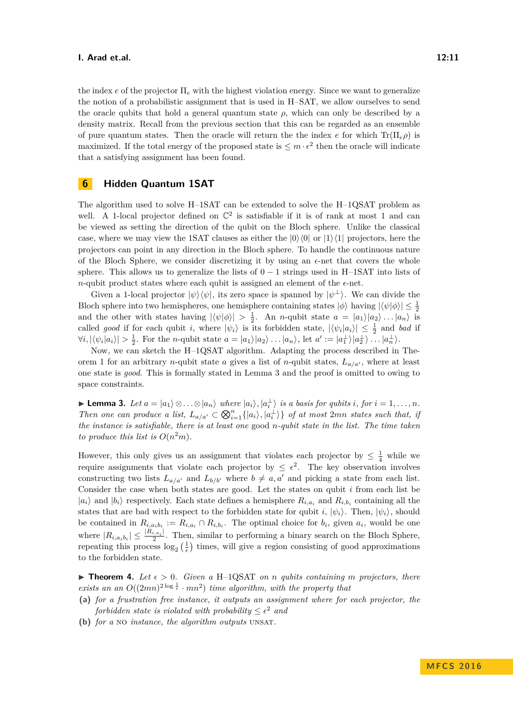the index *e* of the projector Π*<sup>e</sup>* with the highest violation energy. Since we want to generalize the notion of a probabilistic assignment that is used in H–SAT, we allow ourselves to send the oracle qubits that hold a general quantum state  $\rho$ , which can only be described by a density matrix. Recall from the previous section that this can be regarded as an ensemble of pure quantum states. Then the oracle will return the the index *e* for which  $Tr(\Pi_e \rho)$  is maximized. If the total energy of the proposed state is  $\leq m \cdot \epsilon^2$  then the oracle will indicate that a satisfying assignment has been found.

# <span id="page-10-0"></span>**6 Hidden Quantum 1SAT**

The algorithm used to solve H–1SAT can be extended to solve the H–1QSAT problem as well. A 1-local projector defined on  $\mathbb{C}^2$  is satisfiable if it is of rank at most 1 and can be viewed as setting the direction of the qubit on the Bloch sphere. Unlike the classical case, where we may view the 1SAT clauses as either the  $|0\rangle\langle 0|$  or  $|1\rangle\langle 1|$  projectors, here the projectors can point in any direction in the Bloch sphere. To handle the continuous nature of the Bloch Sphere, we consider discretizing it by using an  $\epsilon$ -net that covers the whole sphere. This allows us to generalize the lists of  $0 - 1$  strings used in H–1SAT into lists of *n*-qubit product states where each qubit is assigned an element of the  $\epsilon$ -net.

Given a 1-local projector  $|\psi\rangle\langle\psi|$ , its zero space is spanned by  $|\psi^{\perp}\rangle$ . We can divide the Bloch sphere into two hemispheres, one hemisphere containing states  $|\phi\rangle$  having  $|\langle \psi | \phi \rangle| \leq \frac{1}{2}$ and the other with states having  $|\langle \psi | \phi \rangle| > \frac{1}{2}$ . An *n*-qubit state  $a = |a_1\rangle |a_2\rangle ... |a_n\rangle$  is called *good* if for each qubit *i*, where  $|\psi_i\rangle$  is its forbidden state,  $|\langle \psi_i | a_i \rangle| \leq \frac{1}{2}$  and *bad* if  $\forall i, |\langle \psi_i | a_i \rangle| > \frac{1}{2}$ . For the *n*-qubit state  $a = |a_1\rangle |a_2\rangle \dots |a_n\rangle$ , let  $a' := |a_1\rangle |a_2\rangle \dots |a_n\rangle$ .

Now, we can sketch the H–1QSAT algorithm. Adapting the process described in The-orem [1](#page-5-3) for an arbitrary *n*-qubit state *a* gives a list of *n*-qubit states,  $L_{a/a'}$ , where at least one state is *good*. This is formally stated in Lemma [3](#page-10-1) and the proof is omitted to owing to space constraints.

<span id="page-10-1"></span>**Lemma 3.** Let  $a = |a_1\rangle \otimes \ldots \otimes |a_n\rangle$  where  $|a_i\rangle, |a_i^{\perp}\rangle$  is a basis for qubits i, for  $i = 1, \ldots, n$ . *Then one can produce a list,*  $L_{a/a'} \subset \bigotimes_{i=1}^{n} \{|a_i\rangle, |a_i^{\perp}\rangle\}$  *of at most 2mn states such that, if the instance is satisfiable, there is at least one* good *n-qubit state in the list. The time taken to produce this list is*  $O(n^2m)$ *.* 

However, this only gives us an assignment that violates each projector by  $\leq \frac{1}{4}$  while we require assignments that violate each projector by  $\leq \epsilon^2$ . The key observation involves constructing two lists  $L_{a/a'}$  and  $L_{b/b'}$  where  $b \neq a, a'$  and picking a state from each list. Consider the case when both states are good. Let the states on qubit *i* from each list be  $|a_i\rangle$  and  $|b_i\rangle$  respectively. Each state defines a hemisphere  $R_{i,a_i}$  and  $R_{i,b_i}$  containing all the states that are bad with respect to the forbidden state for qubit *i*,  $|\psi_i\rangle$ . Then,  $|\psi_i\rangle$ , should be contained in  $R_{i,a_ib_i} := R_{i,a_i} \cap R_{i,b_i}$ . The optimal choice for  $b_i$ , given  $a_i$ , would be one where  $|R_{i,a_ib_i}| \leq \frac{|R_{i,a_i}|}{2}$  $\frac{a_i a_i}{2}$ . Then, similar to performing a binary search on the Bloch Sphere, repeating this process  $\log_2(\frac{1}{\epsilon})$  times, will give a region consisting of good approximations to the forbidden state.

 $\triangleright$  **Theorem 4.** Let  $\epsilon > 0$ . Given a H-1QSAT on *n* qubits containing *m* projectors, there *exists an an*  $O((2mn)^{2\log \frac{1}{\epsilon}} \cdot mn^2)$  *time algorithm, with the property that* 

- **(a)** *for a frustration free instance, it outputs an assignment where for each projector, the forbidden state is violated with probability*  $\leq \epsilon^2$  *and*
- **(b)** *for a* no *instance, the algorithm outputs* unsat*.*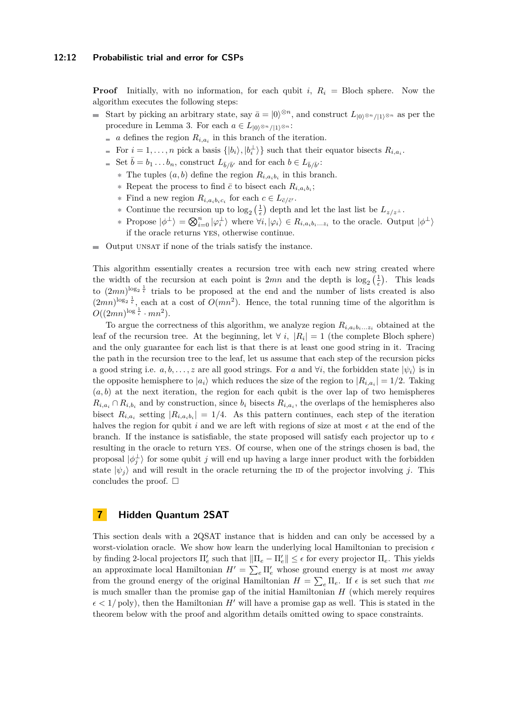#### **12:12 Probabilistic trial and error for CSPs**

**Proof** Initially, with no information, for each qubit *i*,  $R_i$  = Bloch sphere. Now the algorithm executes the following steps:

- Start by picking an arbitrary state, say  $\bar{a} = |0\rangle^{\otimes n}$ , and construct  $L_{|0\rangle^{\otimes n}/|1\rangle^{\otimes n}}$  as per the  $\overline{\phantom{a}}$ procedure in Lemma [3.](#page-10-1) For each  $a \in L_{|0\rangle^{\otimes n}/|1\rangle^{\otimes n}}$ :
	- *a* defines the region  $R_{i,a_i}$  in this branch of the iteration.
	- For  $i = 1, \ldots, n$  pick a basis  $\{|b_i\rangle, |b_i^{\perp}\rangle\}$  such that their equator bisects  $R_{i, a_i}$ .
	- Set  $\bar{b} = b_1 \ldots b_n$ , construct  $L_{\bar{b}/\bar{b}'}$  and for each  $b \in L_{\bar{b}/\bar{b}'}$ :
		- **∗** The tuples (*a, b*) define the region *Ri,aib<sup>i</sup>* in this branch.
		- **\*** Repeat the process to find  $\bar{c}$  to bisect each  $R_{i,a_ib_i}$ ;
		- **\*** Find a new region  $R_{i,a_ib_ic_i}$  for each  $c \in L_{\bar{c}/\bar{c'}}$ .
		- **\*** Continue the recursion up to  $\log_2\left(\frac{1}{\epsilon}\right)$  depth and let the last list be  $L_{z/z}$ .
		- $*$  Propose  $|\phi^{\perp}\rangle = \bigotimes_{i=0}^{n} |\varphi_i^{\perp}\rangle$  where  $\forall i, |\varphi_i\rangle \in R_{i, a_i b_i \dots z_i}$  to the oracle. Output  $|\phi^{\perp}\rangle$ if the oracle returns yes, otherwise continue.
- $\blacksquare$  Output UNSAT if none of the trials satisfy the instance.

This algorithm essentially creates a recursion tree with each new string created where the width of the recursion at each point is  $2mn$  and the depth is  $\log_2(\frac{1}{\epsilon})$ . This leads to  $(2mn)^{\log_2 \frac{1}{\epsilon}}$  trials to be proposed at the end and the number of lists created is also  $(2mn)^{\log_2 \frac{1}{\epsilon}}$ , each at a cost of  $O(mn^2)$ . Hence, the total running time of the algorithm is  $O((2mn)^{\log \frac{1}{\epsilon}} \cdot mn^2).$ 

To argue the correctness of this algorithm, we analyze region  $R_{i,a_ib_i...z_i}$  obtained at the leaf of the recursion tree. At the beginning, let  $\forall i, |R_i| = 1$  (the complete Bloch sphere) and the only guarantee for each list is that there is at least one good string in it. Tracing the path in the recursion tree to the leaf, let us assume that each step of the recursion picks a good string i.e.  $a, b, \ldots, z$  are all good strings. For a and  $\forall i$ , the forbidden state  $|\psi_i\rangle$  is in the opposite hemisphere to  $|a_i\rangle$  which reduces the size of the region to  $|R_{i,a_i}| = 1/2$ . Taking  $(a, b)$  at the next iteration, the region for each qubit is the over lap of two hemispheres  $R_{i,a_i} \cap R_{i,b_i}$  and by construction, since  $b_i$  bisects  $R_{i,a_i}$ , the overlaps of the hemispheres also bisect  $R_{i,a_i}$  setting  $|R_{i,a_ib_i}| = 1/4$ . As this pattern continues, each step of the iteration halves the region for qubit  $i$  and we are left with regions of size at most  $\epsilon$  at the end of the branch. If the instance is satisfiable, the state proposed will satisfy each projector up to  $\epsilon$ resulting in the oracle to return yes. Of course, when one of the strings chosen is bad, the proposal  $|\phi_j^{\perp}\rangle$  for some qubit *j* will end up having a large inner product with the forbidden state  $|\psi_j\rangle$  and will result in the oracle returning the ID of the projector involving *j*. This concludes the proof.  $\square$ 

### <span id="page-11-0"></span>**7 Hidden Quantum 2SAT**

This section deals with a 2QSAT instance that is hidden and can only be accessed by a worst-violation oracle. We show how learn the underlying local Hamiltonian to precision  $\epsilon$ by finding 2-local projectors  $\Pi'_e$  such that  $\|\Pi_e - \Pi'_e\| \leq \epsilon$  for every projector  $\Pi_e$ . This yields an approximate local Hamiltonian  $H' = \sum_{e} \Pi'_{e}$  whose ground energy is at most  $m\epsilon$  away from the ground energy of the original Hamiltonian  $H = \sum_{e} \Pi_{e}$ . If  $\epsilon$  is set such that  $m\epsilon$ is much smaller than the promise gap of the initial Hamiltonian *H* (which merely requires  $\epsilon$  < 1/poly), then the Hamiltonian *H*<sup> $\prime$ </sup> will have a promise gap as well. This is stated in the theorem below with the proof and algorithm details omitted owing to space constraints.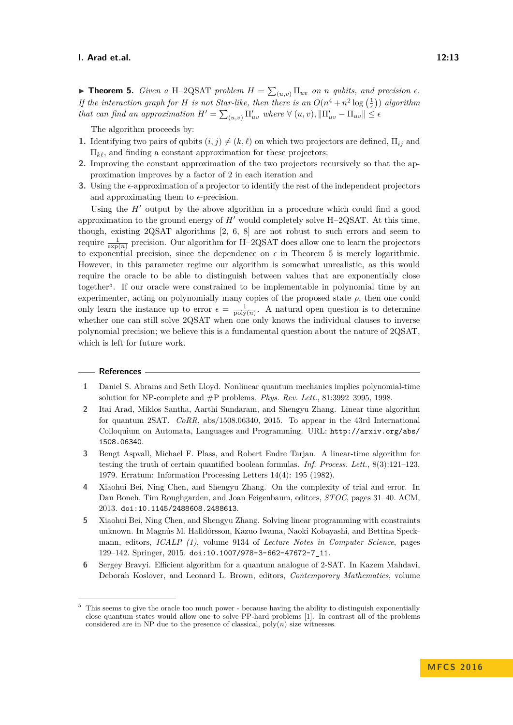<span id="page-12-5"></span>**Find 5.** *Given a* H-2QSAT *problem*  $H = \sum_{(u,v)} \prod_{uv}$  *on n qubits, and precision*  $\epsilon$ *. If the interaction graph for H is not Star-like, then there is an*  $O(n^4 + n^2 \log(\frac{1}{\epsilon}))$  *algorithm that can find an approximation*  $H' = \sum_{(u,v)} \prod_{uv}^{\prime}$  where  $\forall (u,v), ||\Pi'_{uv} - \Pi_{uv}|| \leq \epsilon$ 

The algorithm proceeds by:

- **1.** Identifying two pairs of qubits  $(i, j) \neq (k, \ell)$  on which two projectors are defined,  $\Pi_{ij}$  and  $\Pi_{k\ell}$ , and finding a constant approximation for these projectors;
- **2.** Improving the constant approximation of the two projectors recursively so that the approximation improves by a factor of 2 in each iteration and
- **3.** Using the  $\epsilon$ -approximation of a projector to identify the rest of the independent projectors and approximating them to  $\epsilon$ -precision.

Using the  $H'$  output by the above algorithm in a procedure which could find a good approximation to the ground energy of  $H'$  would completely solve  $H$ –2QSAT. At this time, though, existing 2QSAT algorithms [\[2,](#page-12-1) [6,](#page-12-4) [8\]](#page-13-5) are not robust to such errors and seem to require  $\frac{1}{\exp(n)}$  precision. Our algorithm for H-2QSAT does allow one to learn the projectors to exponential precision, since the dependence on  $\epsilon$  in Theorem [5](#page-12-5) is merely logarithmic. However, in this parameter regime our algorithm is somewhat unrealistic, as this would require the oracle to be able to distinguish between values that are exponentially close together<sup>[5](#page-12-6)</sup>. If our oracle were constrained to be implementable in polynomial time by an experimenter, acting on polynomially many copies of the proposed state  $\rho$ , then one could only learn the instance up to error  $\epsilon = \frac{1}{\text{poly}(n)}$ . A natural open question is to determine whether one can still solve 2QSAT when one only knows the individual clauses to inverse polynomial precision; we believe this is a fundamental question about the nature of 2QSAT, which is left for future work.

### **References**

- <span id="page-12-7"></span>**1** Daniel S. Abrams and Seth Lloyd. Nonlinear quantum mechanics implies polynomial-time solution for NP-complete and #P problems. *Phys. Rev. Lett.*, 81:3992–3995, 1998.
- <span id="page-12-1"></span>**2** Itai Arad, Miklos Santha, Aarthi Sundaram, and Shengyu Zhang. Linear time algorithm for quantum 2SAT. *CoRR*, abs/1508.06340, 2015. To appear in the 43rd International Colloquium on Automata, Languages and Programming. URL: [http://arxiv.org/abs/](http://arxiv.org/abs/1508.06340) [1508.06340](http://arxiv.org/abs/1508.06340).
- <span id="page-12-0"></span>**3** Bengt Aspvall, Michael F. Plass, and Robert Endre Tarjan. A linear-time algorithm for testing the truth of certain quantified boolean formulas. *Inf. Process. Lett.*, 8(3):121–123, 1979. Erratum: Information Processing Letters 14(4): 195 (1982).
- <span id="page-12-2"></span>**4** Xiaohui Bei, Ning Chen, and Shengyu Zhang. On the complexity of trial and error. In Dan Boneh, Tim Roughgarden, and Joan Feigenbaum, editors, *STOC*, pages 31–40. ACM, 2013. [doi:10.1145/2488608.2488613](http://dx.doi.org/10.1145/2488608.2488613).
- <span id="page-12-3"></span>**5** Xiaohui Bei, Ning Chen, and Shengyu Zhang. Solving linear programming with constraints unknown. In Magnús M. Halldórsson, Kazuo Iwama, Naoki Kobayashi, and Bettina Speckmann, editors, *ICALP (1)*, volume 9134 of *Lecture Notes in Computer Science*, pages 129–142. Springer, 2015. [doi:10.1007/978-3-662-47672-7\\_11](http://dx.doi.org/10.1007/978-3-662-47672-7_11).
- <span id="page-12-4"></span>**6** Sergey Bravyi. Efficient algorithm for a quantum analogue of 2-SAT. In Kazem Mahdavi, Deborah Koslover, and Leonard L. Brown, editors, *Contemporary Mathematics*, volume

<span id="page-12-6"></span><sup>5</sup> This seems to give the oracle too much power - because having the ability to distinguish exponentially close quantum states would allow one to solve PP-hard problems [\[1\]](#page-12-7). In contrast all of the problems considered are in NP due to the presence of classical,  $poly(n)$  size witnesses.